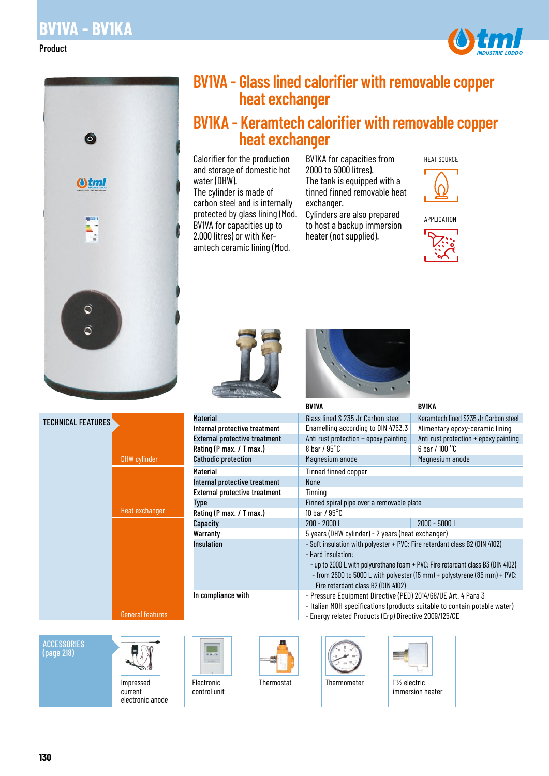#### Product





**ACCESSORIES** (page 218)



Impressed current electronic anode

| <b>BV1VA - Glass lined calorifier with removable copper</b> |
|-------------------------------------------------------------|
| heat exchanger                                              |

# **BV1KA - Keramtech calorifier with removable copper heat exchanger**

Calorifier for the production and storage of domestic hot water (DHW).

The cylinder is made of carbon steel and is internally protected by glass lining (Mod. BV1VA for capacities up to 2.000 litres) or with Keramtech ceramic lining (Mod.

BV1KA for capacities from 2000 to 5000 litres). The tank is equipped with a tinned finned removable heat exchanger.

Cylinders are also prepared to host a backup immersion heater (not supplied).







Internal protective treatment External protective treatment Rating (P max. / T max.) Cathodic protection

Internal protective treatment External protective treatment

Rating (P max. / T max.)

In compliance with

control unit

Material

**Material** 

Type

**Capacity Warranty** Insulation



#### Glass lined S 235 Jr Carbon steel Enamelling according to DIN 4753.3 Anti rust protection + epoxy painting 8 bar / 95°C Magnesium anode Tinned finned copper None Tinning Finned spiral pipe over a removable plate 10 bar / 95°C 200 - 2000 L 2000 - 5000 L 5 years (DHW cylinder) - 2 years (heat exchanger) - Soft insulation with polyester + PVC: Fire retardant class B2 (DIN 4102) - Hard insulation: - up to 2000 L with polyurethane foam + PVC: Fire retardant class B3 (DIN 4102) - from 2500 to 5000 L with polyester (15 mm) + polystyrene (85 mm) + PVC: Fire retardant class B2 (DIN 4102) - Pressure Equipment Directive (PED) 2014/68/UE Art. 4 Para 3 - Italian MOH specifications (products suitable to contain potable water) **BV1VA** Keramtech lined S235 Jr Carbon steel Alimentary epoxy-ceramic lining Anti rust protection + epoxy painting 6 bar / 100 °C Magnesium anode **BV1KA**

- Energy related Products (Erp) Directive 2009/125/CE
- 





Thermostat Thermometer 1"1/2 electric



immersion heater

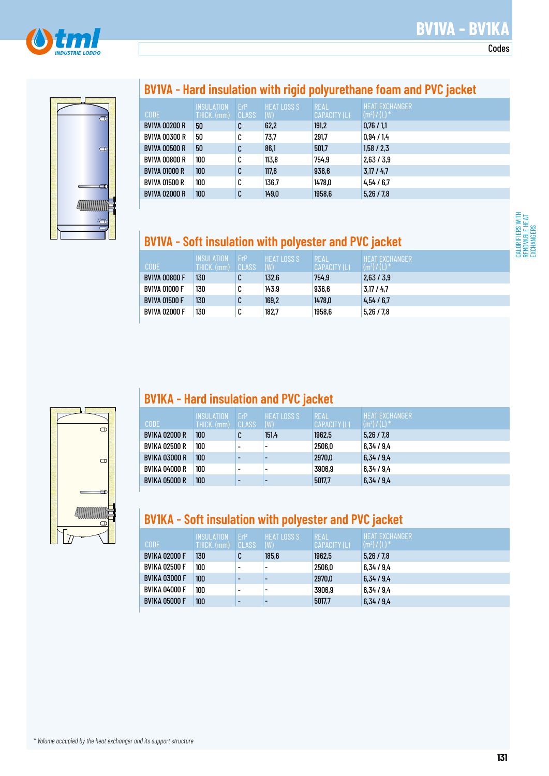

Codes





# **BV1VA - Hard insulation with rigid polyurethane foam and PVC jacket**

|                      | <b>INSULATION</b> | ErP    | <b>HEAT LOSS S</b> | <b>REAL</b>  | HEAT EXCHANGER  |
|----------------------|-------------------|--------|--------------------|--------------|-----------------|
| <b>CODE</b>          | THICK. (mm)       | CLASS  | (W)                | CAPACITY (L) | $(m^2) / (L)^*$ |
| <b>BV1VA 00200 R</b> | 50                | C      | 62,2               | 191,2        | 0.76/1.1        |
| <b>BV1VA 00300 R</b> | 50                | C      | 73,7               | 291,7        | 0.94 / 1.4      |
| <b>BV1VA 00500 R</b> | 50                | C      | 86,1               | 501,7        | 1,58/2,3        |
| <b>BV1VA 00800 R</b> | 100               | C      | 113.8              | 754,9        | 2,63/3,9        |
| <b>BV1VA 01000 R</b> | 100               | C      | 117,6              | 936,6        | 3,17/4,7        |
| <b>BV1VA 01500 R</b> | 100               | C      | 136.7              | 1478,0       | 4.54/6.7        |
| <b>BV1VA 02000 R</b> | 100               | r<br>u | 149,0              | 1958,6       | 5.26 / 7.8      |

# **BV1VA - Soft insulation with polyester and PVC jacket**

| <b>CODE</b>          | <b>INSULATION</b><br>THICK. (mm) | FrP<br>CLASS | <b>LHEAT LOSS S</b> '<br>(W) | REAL<br>CAPACITY (L) | <b>HEAT EXCHANGER</b><br>$(m2)/(L)$ <sup>*</sup> |
|----------------------|----------------------------------|--------------|------------------------------|----------------------|--------------------------------------------------|
| <b>BV1VA 00800 F</b> | 130                              |              | 132,6                        | 754.9                | 2,63/3,9                                         |
| BV1VA 01000 F        | 130                              | u            | 143,9                        | 936.6                | 3.17/4.7                                         |
| <b>BV1VA 01500 F</b> | 130                              | ι.           | 169,2                        | 1478,0               | 4.54/6.7                                         |
| BV1VA 02000 F        | 130                              | ∩            | 182,7                        | 1958,6               | 5,26/7,8                                         |

# $\Theta$  $\bullet$

## **BV1KA - Hard insulation and PVC jacket**

| <b>CODE</b>          | <b>INSULATION</b><br>THICK. (mm) | FrP<br>CLASS             | <b>HEAT LOSS S</b><br>(W) | <b>REAL</b><br>CAPACITY (L) | <b>HEAT FXCHANGER</b><br>$(m2)/(L)$ <sup>*</sup> |
|----------------------|----------------------------------|--------------------------|---------------------------|-----------------------------|--------------------------------------------------|
| <b>BV1KA 02000 R</b> | 100                              | u                        | 151.4                     | 1962,5                      | 5.26 / 7.8                                       |
| BV1KA 02500 R        | 100                              | $\overline{\phantom{0}}$ | -                         | 2506,0                      | 6.34 / 9.4                                       |
| <b>BV1KA 03000 R</b> | 100                              | $\overline{\phantom{0}}$ |                           | 2970,0                      | 6,34/9,4                                         |
| BV1KA 04000 R        | 100                              | $\overline{\phantom{0}}$ |                           | 3906,9                      | 6,34/9,4                                         |
| <b>BV1KA 05000 R</b> | 100                              | -                        |                           | 5017,7                      | 6,34/9,4                                         |

# **BV1KA - Soft insulation with polyester and PVC jacket**

| <b>CODE</b>          | INSULATION<br>THICK. (mm) | <b>FrP</b><br><b>CLASS</b> | <b>HEAT LOSS S</b><br>(W) | <b>REAL</b><br>CAPACITY (L) | <b>HEAT FXCHANGER</b><br>$(m^2) / (L)^*$ |
|----------------------|---------------------------|----------------------------|---------------------------|-----------------------------|------------------------------------------|
| <b>BV1KA 02000 F</b> | 130                       | C                          | 185,6                     | 1962,5                      | 5,26/7,8                                 |
| <b>BV1KA 02500 F</b> | 100                       | $\overline{\phantom{0}}$   | -                         | 2506,0                      | 6.34 / 9.4                               |
| <b>BV1KA 03000 F</b> | 100                       | $\overline{\phantom{0}}$   |                           | 2970,0                      | 6,34/9,4                                 |
| <b>BV1KA 04000 F</b> | 100                       | ۰                          | $\overline{\phantom{0}}$  | 3906.9                      | 6.34 / 9.4                               |
| <b>BV1KA 05000 F</b> | 100                       |                            |                           | 5017,7                      | 6,34/9,4                                 |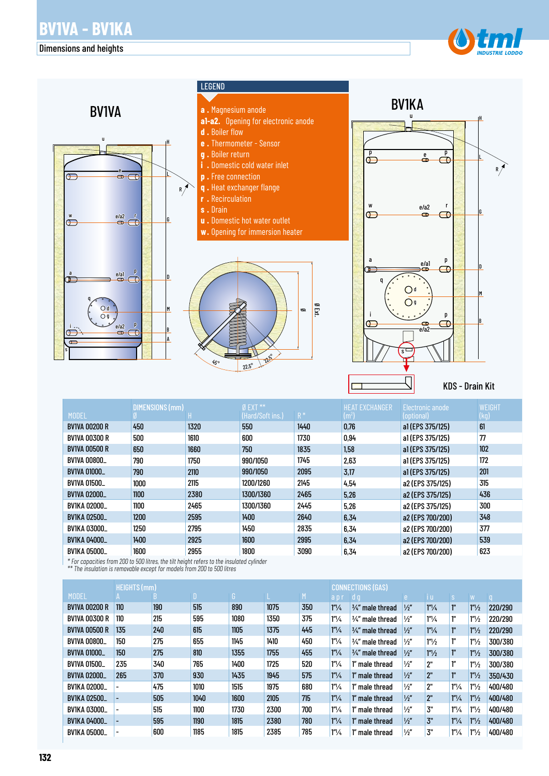#### Dimensions and heights





|                      | DIMENSIONS (mm) |      | $Ø$ EXT $**$     |       | HEAT EXCHANGER | Electronic anode | WEIGHT |
|----------------------|-----------------|------|------------------|-------|----------------|------------------|--------|
| <b>MODEL</b>         |                 |      | (Hard/Soft ins.) | $R^*$ | $\rm [m^2]$    | (optional)       | (kg)   |
| <b>BV1VA 00200 R</b> | 450             | 1320 | 550              | 1440  | 0,76           | a1 (EPS 375/125) | 61     |
| <b>BV1VA 00300 R</b> | 500             | 1610 | 600              | 1730  | 0.94           | a1(EPS 375/125)  | 77     |
| <b>BV1VA 00500 R</b> | 650             | 1660 | 750              | 1835  | 1,58           | a1(EPS 375/125)  | 102    |
| <b>BV1VA 00800_</b>  | 790             | 1750 | 990/1050         | 1745  | 2,63           | a1(EPS 375/125)  | 172    |
| <b>BV1VA 01000_</b>  | 790             | 2110 | 990/1050         | 2095  | 3,17           | a1(EPS 375/125)  | 201    |
| <b>BV1VA 01500_</b>  | 1000            | 2115 | 1200/1260        | 2145  | 4,54           | a2 (EPS 375/125) | 315    |
| <b>BV1VA 02000_</b>  | 1100            | 2380 | 1300/1360        | 2465  | 5,26           | a2 (EPS 375/125) | 436    |
| <b>BV1KA 02000_</b>  | 1100            | 2465 | 1300/1360        | 2445  | 5,26           | a2 (EPS 375/125) | 300    |
| <b>BV1KA 02500_</b>  | 1200            | 2595 | 1400             | 2640  | 6,34           | a2 (EPS 700/200) | 348    |
| <b>BV1KA 03000_</b>  | 1250            | 2795 | 1450             | 2835  | 6,34           | a2 (EPS 700/200) | 377    |
| <b>BV1KA 04000_</b>  | 1400            | 2925 | 1600             | 2995  | 6,34           | a2 (EPS 700/200) | 539    |
| <b>BV1KA 05000_</b>  | 1600            | 2955 | 1800             | 3090  | 6,34           | a2 (EPS 700/200) | 623    |

*\* For capacities from 200 to 500 litres, the tilt height refers to the insulated cylinder* 

*\*\* The insulation is removable except for models from 200 to 500 litres*

|                      | <b>HEIGHTS (mm)</b>      |     |              |      |      | <b>CONNECTIONS (GAS)</b> |                  |                             |               |                      |                      |                   |              |
|----------------------|--------------------------|-----|--------------|------|------|--------------------------|------------------|-----------------------------|---------------|----------------------|----------------------|-------------------|--------------|
| <b>MODEL</b>         |                          | n.  | $\mathbf{D}$ | G '  |      | M                        | apr              | l d q                       | e             | li ul                | S                    | W                 | $\mathsf{u}$ |
| <b>BV1VA 00200 R</b> | 110                      | 190 | 515          | 890  | 1075 | 350                      | $1''\frac{1}{4}$ | 3/4" male thread            | $\frac{1}{2}$ | 1''/4                | ľ.                   | 1 <sup>n</sup> /2 | 220/290      |
| <b>BV1VA 00300 R</b> | 110                      | 215 | 595          | 1080 | 1350 | 375                      | $1''\frac{1}{4}$ | 3⁄4″ male thread            | $\frac{1}{2}$ | $1^{\prime\prime}/4$ | ľ.                   | 1 <sup>n</sup> /2 | 220/290      |
| <b>BV1VA 00500 R</b> | 135                      | 240 | 615          | 1105 | 1375 | 445                      | $1''\frac{1}{4}$ | $\frac{3}{4}$ " male thread | $\frac{1}{2}$ | 1''/4                | ľ.                   | 1 <sup>n</sup> /2 | 220/290      |
| <b>BV1VA 00800_</b>  | 150                      | 275 | 655          | 1145 | 1410 | 450                      | $1''\frac{1}{4}$ | 3⁄4″ male thread            | $\frac{1}{2}$ | 1''/2                | ľ.                   | 1 <sup>n</sup> /2 | 300/380      |
| <b>BV1VA 01000_</b>  | 150                      | 275 | 810          | 1355 | 1755 | 455                      | $1''\frac{1}{4}$ | 3/4" male thread            | $\frac{1}{2}$ | 1 <sup>n</sup> /2    | ľ"                   | 1 <sup>n</sup> /2 | 300/380      |
| <b>BV1VA 01500_</b>  | 235                      | 340 | 765          | 1400 | 1725 | 520                      | $1''\frac{1}{4}$ | 1" male thread              | $\frac{1}{2}$ | 2"                   | ľ"                   | 1 <sup>n</sup> /2 | 300/380      |
| <b>BV1VA 02000_</b>  | 265                      | 370 | 930          | 1435 | 1945 | 575                      | $1''\frac{1}{4}$ | 1" male thread              | $\frac{1}{2}$ | 2"                   | ľ.                   | 1 <sup>n</sup> /2 | 350/430      |
| <b>BV1KA 02000_</b>  | $\overline{\phantom{0}}$ | 475 | 1010         | 1515 | 1975 | 680                      | $1''\frac{1}{4}$ | 1" male thread              | $\frac{1}{2}$ | 2"                   | $1''\frac{1}{4}$     | 1 <sup>n</sup> /2 | 400/480      |
| <b>BV1KA 02500_</b>  |                          | 505 | 1040         | 1600 | 2105 | 715                      | $1''\frac{1}{4}$ | 1" male thread              | $\frac{1}{2}$ | 2"                   | $1''\frac{1}{4}$     | 1 <sup>n</sup> /2 | 400/480      |
| BV1KA 03000_         |                          | 515 | 1100         | 1730 | 2300 | 700                      | $1''\frac{1}{4}$ | 1" male thread              | $\frac{1}{2}$ | 3"                   | $1^{\prime\prime}/4$ | 1 <sup>n</sup> /2 | 400/480      |
| <b>BV1KA 04000_</b>  |                          | 595 | 1190         | 1815 | 2380 | 780                      | $1''\frac{1}{4}$ | 1" male thread              | $\frac{1}{2}$ | 3"                   | $1''\frac{1}{4}$     | 1 <sup>n</sup> /2 | 400/480      |
| <b>BV1KA 05000_</b>  | $\overline{\phantom{a}}$ | 600 | 1185         | 1815 | 2385 | 785                      | $1''\frac{1}{4}$ | 1" male thread              | $\frac{1}{2}$ | 3"                   | $1''\frac{1}{4}$     | 1 <sup>n</sup> /2 | 400/480      |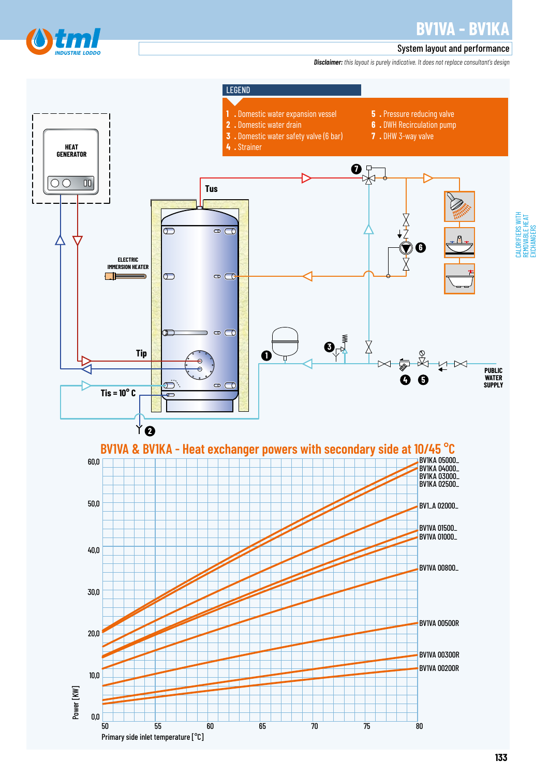

REMOVABLE HEAT EXCHANGERS

#### System layout and performance

*Disclaimer: this layout is purely indicative. It does not replace consultant's design*

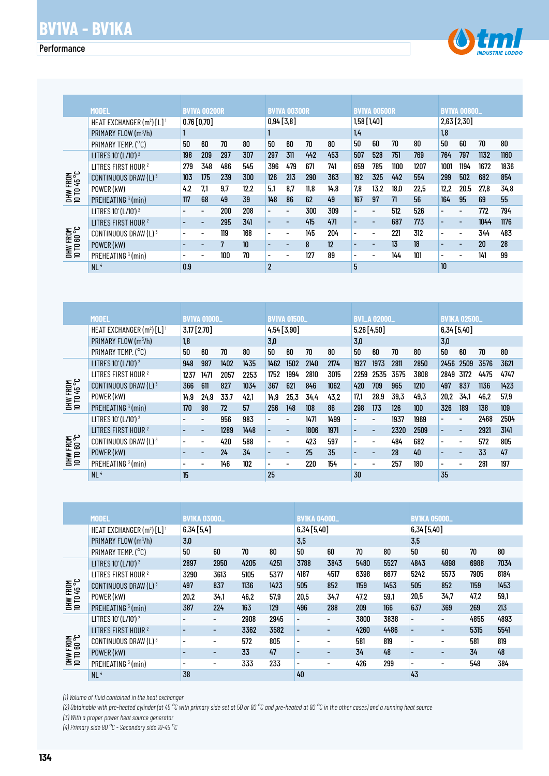### **Performance**

![](_page_4_Picture_2.jpeg)

|                                 | MODEL                                   |                          |                          | <b>BV1VA 00200R</b> |      |                          |                          | <b>BVIVA 00300R</b> |      |                          | <b>BV1VA 00500R</b>      |      |      |                          | <b>BV1VA 00800_</b>      |      |      |
|---------------------------------|-----------------------------------------|--------------------------|--------------------------|---------------------|------|--------------------------|--------------------------|---------------------|------|--------------------------|--------------------------|------|------|--------------------------|--------------------------|------|------|
|                                 | HEAT EXCHANGER $(m^2)$ [L] <sup>1</sup> |                          | 0,76 [0,70]              |                     |      | 0,94[3,8]                |                          |                     |      | $1,58$ [1,40]            |                          |      |      |                          | $2,63$ [2,30]            |      |      |
|                                 | PRIMARY FLOW (m <sup>3</sup> /h)        |                          |                          |                     |      |                          |                          |                     |      | 1,4                      |                          |      |      | 1,8                      |                          |      |      |
|                                 | PRIMARY TEMP. (°C)                      | 50                       | 60                       | 70                  | 80   | 50                       | 60                       | 70                  | 80   | 50                       | 60                       | 70   | 80   | 50                       | 60                       | 70   | 80   |
|                                 | LITRES 10' (L/10') <sup>2</sup>         | 198                      | 209                      | 297                 | 307  | 297                      | 311                      | 442                 | 453  | 507                      | 528                      | 751  | 769  | 764                      | 797                      | 1132 | 1160 |
|                                 | LITRES FIRST HOUR <sup>2</sup>          | 279                      | 348                      | 486                 | 545  | 396                      | 479                      | 671                 | 741  | 659                      | 785                      | 1100 | 1207 | 1001                     | 1194                     | 1672 | 1836 |
|                                 | CONTINUOUS DRAW (L) 3                   | 103                      | 175                      | 239                 | 300  | 126                      | 213                      | 290                 | 363  | 192                      | 325                      | 442  | 554  | 299                      | 502                      | 682  | 854  |
| <b>DHW FROM<br/>10 TD 45 °C</b> | POWER (kW)                              | 4.2                      | 7.1                      | 9.7                 | 12.2 | 5.1                      | 8.7                      | 11.8                | 14,8 | 7,8                      | 13.2 <sub>2</sub>        | 18.0 | 22.5 | 12,2                     | 20,5                     | 27.8 | 34,8 |
|                                 | PREHEATING <sup>3</sup> (min)           | 117                      | 68                       | 49                  | 39   | 148                      | 86                       | 62                  | 49   | 167                      | 97                       | 71   | 56   | 164                      | 95                       | 69   | 55   |
|                                 | LITRES 10' (L/10') <sup>2</sup>         |                          |                          | 200                 | 208  | $\overline{\phantom{0}}$ | $\overline{\phantom{0}}$ | 300                 | 309  | $\overline{\phantom{0}}$ | $\overline{\phantom{0}}$ | 512  | 526  | $\overline{a}$           |                          | 772  | 794  |
|                                 | LITRES FIRST HOUR <sup>2</sup>          | $\overline{\phantom{0}}$ | $\overline{\phantom{0}}$ | 295                 | 341  | $\overline{\phantom{0}}$ | $\overline{\phantom{0}}$ | 415                 | 471  | $\overline{\phantom{0}}$ | $\overline{\phantom{a}}$ | 687  | 773  | $\overline{\phantom{0}}$ | $\overline{a}$           | 1044 | 1176 |
|                                 | CONTINUOUS DRAW (L) 3                   |                          |                          | 119                 | 168  | $\overline{\phantom{0}}$ | $\overline{\phantom{0}}$ | 145                 | 204  | $\overline{a}$           | $\overline{\phantom{a}}$ | 221  | 312  | $\overline{\phantom{a}}$ | $\overline{\phantom{a}}$ | 344  | 483  |
| DHW FROM<br>10 TO 60 °C         | POWER (kW)                              |                          | -                        | 7                   | 10   | $\overline{\phantom{0}}$ | ۰                        | 8                   | 12   | -                        | $\overline{\phantom{0}}$ | 13   | 18   |                          |                          | 20   | 28   |
|                                 | PREHEATING <sup>3</sup> (min)           |                          | $\overline{\phantom{0}}$ | 100                 | 70   | $\overline{\phantom{0}}$ | $\overline{\phantom{0}}$ | 127                 | 89   | $\overline{\phantom{0}}$ | $\overline{\phantom{0}}$ | 144  | 101  | $\overline{\phantom{0}}$ | $\overline{\phantom{0}}$ | 141  | 99   |
|                                 | NL <sup>4</sup>                         | 0.9                      |                          |                     |      | $\overline{2}$           |                          |                     |      | 5                        |                          |      |      | 10                       |                          |      |      |

|                                 | CONTINUOUS DRAW (L) 3                                                                                                                                        | 103                          | 175                          | 239            | 300    | 126                      | 213                      | 290                      | 363                          | 192                      | 325                      | 442    | 554                      | 299                          | 502                      | 682    | 854        |
|---------------------------------|--------------------------------------------------------------------------------------------------------------------------------------------------------------|------------------------------|------------------------------|----------------|--------|--------------------------|--------------------------|--------------------------|------------------------------|--------------------------|--------------------------|--------|--------------------------|------------------------------|--------------------------|--------|------------|
| <b>DHW FROM<br/>10 TD 45 °C</b> | POWER (kW)                                                                                                                                                   | 4,2                          | 7,1                          | 9,7            | 12,2   | 5,1                      | 8,7                      | 11,8                     | 14,8                         | 7,8                      | 13,2                     | 18,0   | 22,5                     | 12,2                         | 20,5                     | 27,8   | 34,8       |
|                                 | PREHEATING <sup>3</sup> (min)                                                                                                                                | 117                          | 68                           | 49             | 39     | 148                      | 86                       | 62                       | 49                           | 167                      | 97                       | 71     | 56                       | 164                          | 95                       | 69     | 55         |
|                                 | LITRES 10' (L/10') <sup>2</sup>                                                                                                                              | $\overline{\phantom{0}}$     | $\overline{\phantom{a}}$     | 200            | 208    | $\overline{\phantom{0}}$ | $\frac{1}{2}$            | 300                      | 309                          | $\overline{\phantom{0}}$ | $\blacksquare$           | 512    | 526                      | $\overline{a}$               | $\frac{1}{2}$            | 772    | 794        |
|                                 | LITRES FIRST HOUR <sup>2</sup>                                                                                                                               | $\overline{\phantom{m}}$     | $\overline{\phantom{a}}$     | 295            | 341    | $\overline{a}$           | L,                       | 415                      | 471                          | $\overline{\phantom{m}}$ | $\overline{a}$           | 687    | 773                      | $\overline{a}$               | $\frac{1}{2}$            | 1044   | 1176       |
|                                 | CONTINUOUS DRAW (L) 3                                                                                                                                        | $\overline{\phantom{a}}$     | $\overline{\phantom{a}}$     | 119            | 168    | $\overline{\phantom{a}}$ | $\overline{\phantom{a}}$ | 145                      | 204                          | $\overline{\phantom{a}}$ | $\overline{\phantom{a}}$ | 221    | 312                      | $\overline{\phantom{0}}$     | $\overline{\phantom{a}}$ | 344    | 483        |
| DHW FROM<br>10 TO 60 °C         | POWER (kW)                                                                                                                                                   |                              | $\overline{\phantom{a}}$     | $\overline{7}$ | 10     | $\overline{a}$           | $\overline{a}$           | 8                        | 12                           | $\overline{\phantom{a}}$ | $\Box$                   | 13     | 18                       | -                            | ÷,                       | $20\,$ | ${\bf 28}$ |
|                                 | PREHEATING <sup>3</sup> (min)                                                                                                                                | $\overline{\phantom{0}}$     | $\overline{\phantom{a}}$     | 100            | 70     | $\overline{\phantom{0}}$ | $\overline{\phantom{a}}$ | 127                      | 89                           | $\overline{\phantom{a}}$ | $\overline{\phantom{0}}$ | 144    | 101                      | $\overline{\phantom{0}}$     | $\overline{\phantom{0}}$ | 141    | 99         |
|                                 | NL <sup>4</sup>                                                                                                                                              | 0,9                          |                              |                |        | $\boldsymbol{2}$         |                          |                          |                              | 5                        |                          |        |                          | 10                           |                          |        |            |
|                                 |                                                                                                                                                              |                              |                              |                |        |                          |                          |                          |                              |                          |                          |        |                          |                              |                          |        |            |
|                                 |                                                                                                                                                              |                              |                              |                |        |                          |                          |                          |                              |                          |                          |        |                          |                              |                          |        |            |
|                                 |                                                                                                                                                              |                              |                              |                |        |                          |                          |                          |                              |                          |                          |        |                          |                              |                          |        |            |
|                                 |                                                                                                                                                              |                              |                              |                |        |                          |                          |                          |                              |                          |                          |        |                          |                              |                          |        |            |
|                                 | <b>MODEL</b>                                                                                                                                                 |                              | <b>BV1VA 01000_</b>          |                |        | <b>BV1VA 01500_</b>      |                          |                          |                              |                          | <b>BV1_A 02000_</b>      |        |                          |                              | <b>BV1KA 02500_</b>      |        |            |
|                                 | HEAT EXCHANGER (m <sup>2</sup> ) [L] <sup>1</sup>                                                                                                            |                              | 3,17 [2,70]                  |                |        | 4,54 [3,90]              |                          |                          |                              | 5,26 [4,50]              |                          |        |                          | 6,34 [5,40]                  |                          |        |            |
|                                 | PRIMARY FLOW (m <sup>3</sup> /h)                                                                                                                             | 1,8                          |                              |                |        | 3,0                      |                          |                          |                              | 3,0                      |                          |        |                          | 3,0                          |                          |        |            |
|                                 | PRIMARY TEMP. (°C)                                                                                                                                           | 50                           | 60                           | $70\,$         | 80     | 50                       | $60\,$                   | $70\,$                   | $80\,$                       | 50                       | $60\,$                   | $70\,$ | 80                       | 50                           | 60                       | $70\,$ | $80\,$     |
|                                 | LITRES 10' (L/10') 2                                                                                                                                         | 948                          | 987                          | 1402           | 1435   | 1462                     | 1502                     | 2140                     | 2174                         | 1927                     | 1973                     | 2811   | 2850                     |                              | 2456 2509                | 3576   | 3621       |
|                                 | LITRES FIRST HOUR <sup>2</sup>                                                                                                                               | 1237                         | 1471                         | 2057           | 2253   | 1752                     | 1994                     | 2810                     | 3015                         | 2259                     | 2535                     | 3575   | 3808                     | 2849 3172                    |                          | 4475   | 4747       |
| DHW FROM<br>10 TD 45 °C         | CONTINUOUS DRAW (L) 3                                                                                                                                        | 366                          | 611                          | 827            | 1034   | 367                      | 621                      | 846                      | 1062                         | 420                      | 709                      | 965    | 1210                     | 497                          | 837                      | 1136   | 1423       |
|                                 | POWER (kW)                                                                                                                                                   | 14,9                         | 24,9                         | 33,7           | 42,1   | 14,9                     | 25,3                     | 34,4                     | 43,2                         | 17,1                     | 28,9                     | 39,3   | 49,3                     | 20,2                         | 34,1                     | 46,2   | 57,9       |
|                                 | PREHEATING <sup>3</sup> (min)                                                                                                                                | 170                          | 98                           | 72             | 57     | 256                      | 148                      | 108                      | 86                           | 298                      | 173                      | 126    | 100                      | 326                          | 189                      | 138    | 109        |
|                                 | LITRES 10' (L/10') <sup>2</sup>                                                                                                                              | $\overline{\phantom{0}}$     | $\overline{\phantom{a}}$     | 956            | 983    | $\frac{1}{2}$            | $\frac{1}{2}$            | 1471                     | 1499                         | $\qquad \qquad -$        | $\frac{1}{2}$            | 1937   | 1969                     | $\overline{a}$               | $\overline{\phantom{a}}$ | 2468   | 2504       |
|                                 | LITRES FIRST HOUR <sup>2</sup>                                                                                                                               | $\blacksquare$               | $\overline{\phantom{a}}$     | 1289           | 1448   | $\qquad \qquad -$        | $\overline{\phantom{0}}$ | 1806                     | 1971                         | $\overline{\phantom{a}}$ | $\qquad \qquad -$        | 2320   | 2509                     | $\overline{a}$               | $\qquad \qquad -$        | 2921   | 3141       |
| DHW FROM<br>10 TO 60 °C         | CONTINUOUS DRAW (L) 3                                                                                                                                        | $\overline{\phantom{0}}$     | $\overline{\phantom{a}}$     | 420            | 588    | $\overline{\phantom{0}}$ | $\blacksquare$           | 423                      | 597                          | $\blacksquare$           | $\blacksquare$           | 484    | 682                      | $\overline{a}$               | $\overline{\phantom{a}}$ | 572    | 805        |
|                                 | POWER (kW)                                                                                                                                                   | $\qquad \qquad \blacksquare$ | $\overline{\phantom{a}}$     | 24             | 34     | $\overline{\phantom{a}}$ | $\overline{\phantom{a}}$ | 25                       | 35                           | $\overline{\phantom{a}}$ | $\overline{\phantom{a}}$ | 28     | 40                       | ÷                            | $\blacksquare$           | 33     | 47         |
|                                 | PREHEATING <sup>3</sup> (min)                                                                                                                                | $\overline{\phantom{0}}$     | $\qquad \qquad -$            | 146            | 102    | $\overline{\phantom{0}}$ | $\blacksquare$           | 220                      | 154                          | $\overline{\phantom{0}}$ | $\blacksquare$           | 257    | 180                      | -                            | $\overline{\phantom{a}}$ | 281    | 197        |
|                                 | NL <sup>4</sup>                                                                                                                                              | 15                           |                              |                |        | 25                       |                          |                          |                              | 30                       |                          |        |                          | 35                           |                          |        |            |
|                                 |                                                                                                                                                              |                              |                              |                |        |                          |                          |                          |                              |                          |                          |        |                          |                              |                          |        |            |
|                                 |                                                                                                                                                              |                              |                              |                |        |                          |                          |                          |                              |                          |                          |        |                          |                              |                          |        |            |
|                                 |                                                                                                                                                              |                              |                              |                |        |                          |                          |                          |                              |                          |                          |        |                          |                              |                          |        |            |
|                                 | <b>MODEL</b>                                                                                                                                                 |                              | <b>BV1KA 03000.</b>          |                |        |                          |                          | <b>BV1KA 04000.</b>      |                              |                          |                          |        | <b>BV1KA 05000.</b>      |                              |                          |        |            |
|                                 | HEAT EXCHANGER (m <sup>2</sup> ) [L] <sup>1</sup>                                                                                                            | 6,34[5,4]                    |                              |                |        |                          |                          | 6,34 [5,40]              |                              |                          |                          |        | 6,34 [5,40]              |                              |                          |        |            |
|                                 | PRIMARY FLOW (m3/h)                                                                                                                                          | 3,0                          |                              |                |        |                          |                          | 3,5                      |                              |                          |                          |        | 3,5                      |                              |                          |        |            |
|                                 | PRIMARY TEMP. (°C)                                                                                                                                           | $50\,$                       |                              | 60             | $70\,$ | 80                       |                          | 50                       | 60                           | 70                       | $80\,$                   |        | $50\,$                   | 60                           | $70\,$                   |        | 80         |
|                                 | LITRES 10' (L/10') <sup>2</sup>                                                                                                                              | 2897                         |                              | 2950           | 4205   | 4251                     |                          | 3788                     | 3843                         | 5480                     |                          | 5527   | 4843                     | 4898                         |                          | 6988   | 7034       |
|                                 | LITRES FIRST HOUR <sup>2</sup>                                                                                                                               | 3290                         |                              | 3613           | 5105   | 5377                     |                          | 4187                     | 4517                         | 6398                     |                          | 6677   | 5242                     | 5573                         |                          | 7905   | 8184       |
| ≚౪                              | CONTINUOUS DRAW (L) 3                                                                                                                                        | 497                          |                              | 837            | 1136   | 1423                     |                          | 505                      | 852                          | 1159                     |                          | 1453   | 505                      | 852                          | 1159                     |        | 1453       |
|                                 | POWER (kW)                                                                                                                                                   | 20,2                         |                              | 34,1           | 46,2   | 57,9                     |                          | 20,5                     | 34,7                         | 47,2                     |                          | 59,1   | 20,5                     | 34,7                         | 47,2                     |        | 59,1       |
| DHW FROI<br>10 TO 45            | PREHEATING <sup>3</sup> (min)                                                                                                                                | 387                          |                              | 224            | 163    | 129                      |                          | 496                      | 288                          | 209                      | 166                      |        | 637                      | 369                          | 269                      |        | 213        |
|                                 | LITRES 10' (L/10') <sup>2</sup>                                                                                                                              |                              |                              |                | 2908   | 2945                     |                          |                          | $\overline{\phantom{0}}$     | 3800                     |                          | 3838   |                          |                              |                          | 4855   | 4893       |
|                                 | LITRES FIRST HOUR <sup>2</sup>                                                                                                                               |                              | ٠                            |                | 3362   | 3582                     |                          | $\overline{\phantom{a}}$ | $\overline{\phantom{a}}$     | 4260                     |                          | 4486   | $\blacksquare$           | $\overline{\phantom{a}}$     |                          | 5315   | 5541       |
|                                 | CONTINUOUS DRAW (L) 3                                                                                                                                        |                              | $\overline{\phantom{a}}$     |                | 572    | 805                      |                          | $\overline{\phantom{a}}$ | $\qquad \qquad \blacksquare$ | 581                      | 819                      |        | $\overline{\phantom{a}}$ | $\qquad \qquad \blacksquare$ | 581                      |        | 819        |
|                                 | POWER (kW)                                                                                                                                                   | $\blacksquare$               | $\overline{\phantom{a}}$     |                | 33     | 47                       |                          | $\overline{\phantom{a}}$ | $\overline{\phantom{a}}$     | 34                       | 48                       |        |                          | $\overline{\phantom{a}}$     | 34                       |        | 48         |
| <b>DHW FROM</b><br>10 TO 60 °C  | PREHEATING <sup>3</sup> (min)                                                                                                                                |                              | $\qquad \qquad \blacksquare$ |                | 333    | 233                      |                          |                          | $\overline{a}$               | 426                      |                          | 299    |                          |                              | 548                      |        | 384        |
|                                 | NL <sup>4</sup>                                                                                                                                              | 38                           |                              |                |        |                          |                          | 40                       |                              |                          |                          |        | 43                       |                              |                          |        |            |
|                                 |                                                                                                                                                              |                              |                              |                |        |                          |                          |                          |                              |                          |                          |        |                          |                              |                          |        |            |
|                                 | (1) Volume of fluid contained in the heat exchanger                                                                                                          |                              |                              |                |        |                          |                          |                          |                              |                          |                          |        |                          |                              |                          |        |            |
|                                 | (2) Obtainable with pre-heated cylinder (at 45 °C with primary side set at 50 or 60 °C and pre-heated at 60 °C in the other cases) and a running heat source |                              |                              |                |        |                          |                          |                          |                              |                          |                          |        |                          |                              |                          |        |            |
|                                 | (3) With a proper power heat source generator                                                                                                                |                              |                              |                |        |                          |                          |                          |                              |                          |                          |        |                          |                              |                          |        |            |
|                                 | (4) Primary side 80 °C - Secondary side 10-45 °C                                                                                                             |                              |                              |                |        |                          |                          |                          |                              |                          |                          |        |                          |                              |                          |        |            |

|                                | <b>MODEL</b>                                      | <b>BVIKA 03000_</b> |                          |      |      | <b>BV1KA 04000_</b>      |                          |      |      | <b>BV1KA 05000_</b>      |                          |      |      |  |
|--------------------------------|---------------------------------------------------|---------------------|--------------------------|------|------|--------------------------|--------------------------|------|------|--------------------------|--------------------------|------|------|--|
|                                | HEAT EXCHANGER (m <sup>2</sup> ) [L] <sup>1</sup> | 6,34[5,4]           |                          |      |      | 6,34 [5,40]              |                          |      |      | 6,34 [5,40]              |                          |      |      |  |
|                                | PRIMARY FLOW (m <sup>3</sup> /h)                  | 3,0                 | 3,5                      |      |      |                          |                          |      |      | 3,5                      |                          |      |      |  |
|                                | PRIMARY TEMP. (°C)                                | 50                  | 60                       | 70   | 80   | 50                       | 60                       | 70   | 80   | 50                       | 60                       | 70   | 80   |  |
|                                | LITRES 10' (L/10') <sup>2</sup>                   | 2897                | 2950                     | 4205 | 4251 | 3788                     | 3843                     | 5480 | 5527 | 4843                     | 4898                     | 6988 | 7034 |  |
|                                | LITRES FIRST HOUR <sup>2</sup>                    | 3290                | 3613                     | 5105 | 5377 | 4187                     | 4517                     | 6398 | 6677 | 5242                     | 5573                     | 7905 | 8184 |  |
|                                | CONTINUOUS DRAW (L) 3                             | 497                 | 837                      | 1136 | 1423 | 505                      | 852                      | 1159 | 1453 | 505                      | 852                      | 1159 | 1453 |  |
| DHW FROM<br>10 TD 45 °C        | POWER (kW)                                        | 20.2                | 34.1                     | 46.2 | 57.9 | 20,5                     | 34,7                     | 47.2 | 59.1 | 20,5                     | 34.7                     | 47.2 | 59,1 |  |
|                                | PREHEATING <sup>3</sup> (min)                     | 387                 | 224                      | 163  | 129  | 496                      | 288                      | 209  | 166  | 637                      | 369                      | 269  | 213  |  |
|                                | LITRES 10' (L/10') <sup>2</sup>                   |                     | $\overline{\phantom{a}}$ | 2908 | 2945 | $\overline{a}$           | $\overline{\phantom{a}}$ | 3800 | 3838 |                          | $\overline{\phantom{0}}$ | 4855 | 4893 |  |
|                                | LITRES FIRST HOUR <sup>2</sup>                    |                     | $\overline{\phantom{a}}$ | 3362 | 3582 | $\overline{a}$           | ۰                        | 4260 | 4486 |                          | $\overline{\phantom{0}}$ | 5315 | 5541 |  |
|                                | CONTINUOUS DRAW (L) 3                             | $\overline{a}$      | $\overline{\phantom{a}}$ | 572  | 805  | $\overline{a}$           | $\overline{\phantom{0}}$ | 581  | 819  | $\overline{a}$           | $\overline{\phantom{0}}$ | 581  | 819  |  |
| <b>DHW FROM</b><br>10 TO 60 °C | POWER (kW)                                        |                     | $\overline{\phantom{a}}$ | 33   | 47   | $\overline{a}$           | $\overline{\phantom{0}}$ | 34   | 48   |                          | $\overline{\phantom{0}}$ | 34   | 48   |  |
|                                | PREHEATING <sup>3</sup> (min)                     | $\overline{a}$      | $\overline{\phantom{a}}$ | 333  | 233  | $\overline{\phantom{a}}$ | $\overline{\phantom{0}}$ | 426  | 299  | $\overline{\phantom{0}}$ | $\overline{\phantom{a}}$ | 548  | 384  |  |
|                                | NL <sup>4</sup>                                   | 38                  |                          |      |      | 40                       |                          |      |      | 43                       |                          |      |      |  |